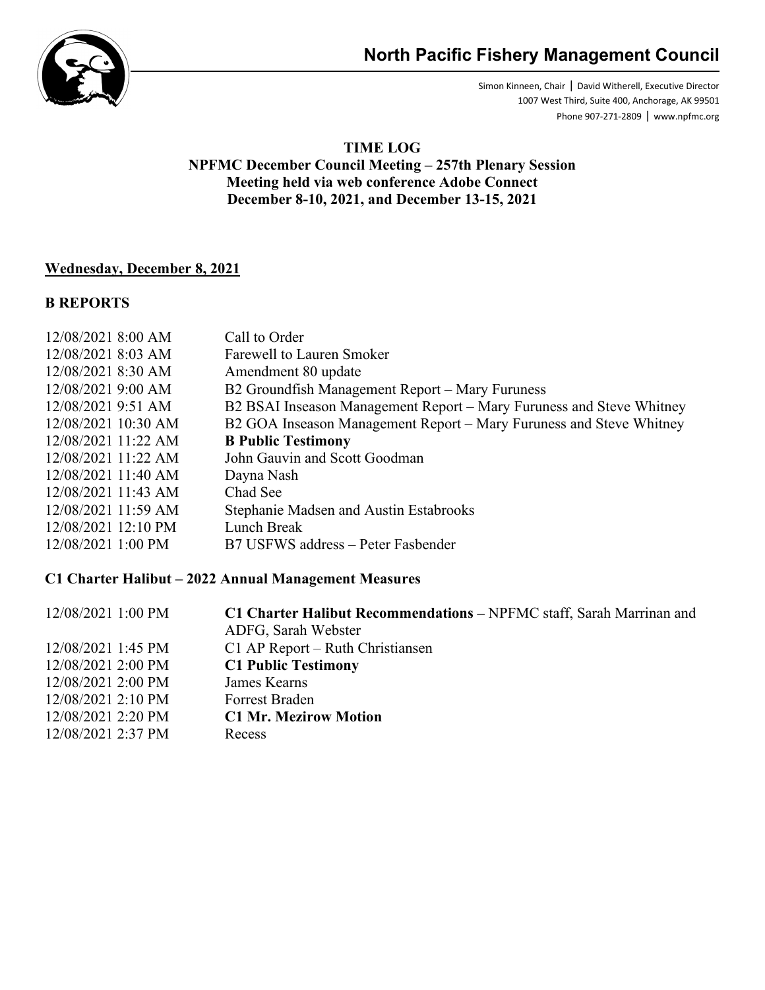

Simon Kinneen, Chair ǀ David Witherell, Executive Director 1007 West Third, Suite 400, Anchorage, AK 99501 Phone 907-271-2809 ǀ www.npfmc.org

#### **TIME LOG NPFMC December Council Meeting – 257th Plenary Session Meeting held via web conference Adobe Connect December 8-10, 2021, and December 13-15, 2021**

### **Wednesday, December 8, 2021**

#### **B REPORTS**

| 12/08/2021 8:00 AM    | Call to Order                                                        |
|-----------------------|----------------------------------------------------------------------|
| 12/08/2021 8:03 AM    | Farewell to Lauren Smoker                                            |
| 12/08/2021 8:30 AM    | Amendment 80 update                                                  |
| 12/08/2021 9:00 AM    | B2 Groundfish Management Report - Mary Furuness                      |
| 12/08/2021 9:51 AM    | B2 BSAI Inseason Management Report – Mary Furuness and Steve Whitney |
| 12/08/2021 10:30 AM   | B2 GOA Inseason Management Report – Mary Furuness and Steve Whitney  |
| 12/08/2021 11:22 AM   | <b>B</b> Public Testimony                                            |
| 12/08/2021 11:22 AM   | John Gauvin and Scott Goodman                                        |
| $12/08/2021$ 11:40 AM | Dayna Nash                                                           |
| 12/08/2021 11:43 AM   | Chad See                                                             |
| 12/08/2021 11:59 AM   | Stephanie Madsen and Austin Estabrooks                               |
| 12/08/2021 12:10 PM   | Lunch Break                                                          |
| 12/08/2021 1:00 PM    | B7 USFWS address – Peter Fasbender                                   |

#### **C1 Charter Halibut – 2022 Annual Management Measures**

| 12/08/2021 1:00 PM | C1 Charter Halibut Recommendations - NPFMC staff, Sarah Marrinan and |
|--------------------|----------------------------------------------------------------------|
|                    | ADFG, Sarah Webster                                                  |
| 12/08/2021 1:45 PM | C1 AP Report – Ruth Christiansen                                     |
| 12/08/2021 2:00 PM | <b>C1 Public Testimony</b>                                           |
| 12/08/2021 2:00 PM | James Kearns                                                         |
| 12/08/2021 2:10 PM | <b>Forrest Braden</b>                                                |
| 12/08/2021 2:20 PM | <b>C1 Mr. Mezirow Motion</b>                                         |
| 12/08/2021 2:37 PM | Recess                                                               |
|                    |                                                                      |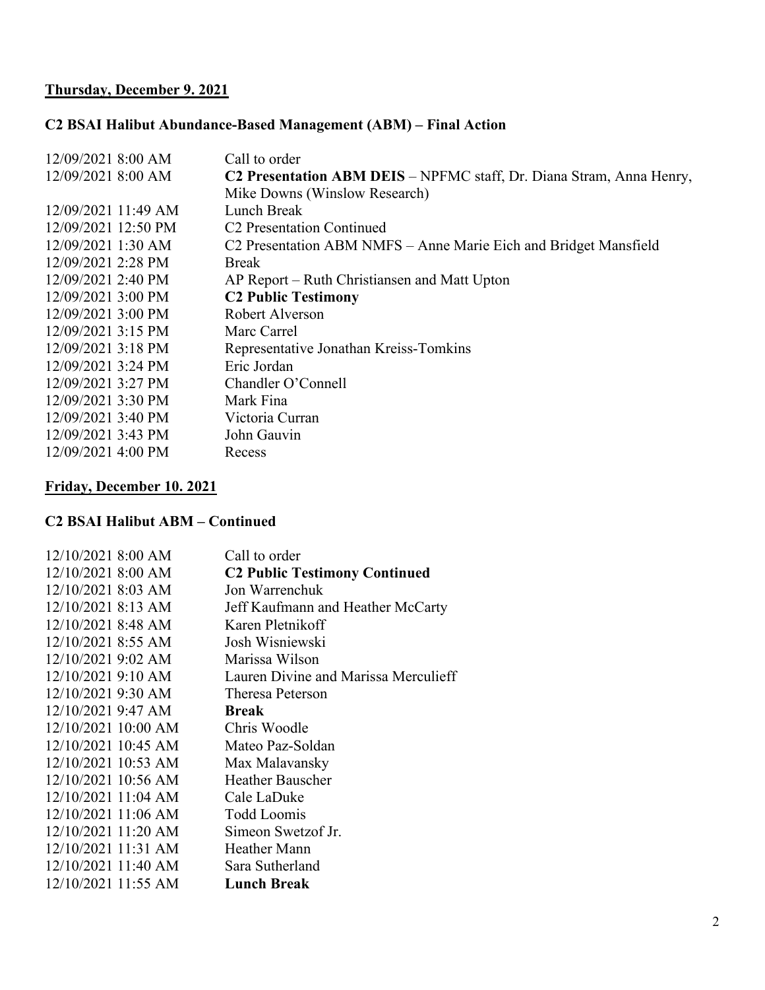# **Thursday, December 9. 2021**

### **C2 BSAI Halibut Abundance-Based Management (ABM) – Final Action**

| 12/09/2021 8:00 AM  | Call to order                                                        |
|---------------------|----------------------------------------------------------------------|
| 12/09/2021 8:00 AM  | C2 Presentation ABM DEIS - NPFMC staff, Dr. Diana Stram, Anna Henry, |
|                     | Mike Downs (Winslow Research)                                        |
| 12/09/2021 11:49 AM | Lunch Break                                                          |
| 12/09/2021 12:50 PM | C <sub>2</sub> Presentation Continued                                |
| 12/09/2021 1:30 AM  | C2 Presentation ABM NMFS - Anne Marie Eich and Bridget Mansfield     |
| 12/09/2021 2:28 PM  | <b>Break</b>                                                         |
| 12/09/2021 2:40 PM  | AP Report – Ruth Christiansen and Matt Upton                         |
| 12/09/2021 3:00 PM  | <b>C2 Public Testimony</b>                                           |
| 12/09/2021 3:00 PM  | Robert Alverson                                                      |
| 12/09/2021 3:15 PM  | Marc Carrel                                                          |
| 12/09/2021 3:18 PM  | Representative Jonathan Kreiss-Tomkins                               |
| 12/09/2021 3:24 PM  | Eric Jordan                                                          |
| 12/09/2021 3:27 PM  | Chandler O'Connell                                                   |
| 12/09/2021 3:30 PM  | Mark Fina                                                            |
| 12/09/2021 3:40 PM  | Victoria Curran                                                      |
| 12/09/2021 3:43 PM  | John Gauvin                                                          |
| 12/09/2021 4:00 PM  | Recess                                                               |

# **Friday, December 10. 2021**

### **C2 BSAI Halibut ABM – Continued**

| 12/10/2021 8:00 AM  | Call to order                        |
|---------------------|--------------------------------------|
| 12/10/2021 8:00 AM  | <b>C2 Public Testimony Continued</b> |
| 12/10/2021 8:03 AM  | Jon Warrenchuk                       |
| 12/10/2021 8:13 AM  | Jeff Kaufmann and Heather McCarty    |
| 12/10/2021 8:48 AM  | Karen Pletnikoff                     |
| 12/10/2021 8:55 AM  | Josh Wisniewski                      |
| 12/10/2021 9:02 AM  | Marissa Wilson                       |
| 12/10/2021 9:10 AM  | Lauren Divine and Marissa Merculieff |
| 12/10/2021 9:30 AM  | Theresa Peterson                     |
| 12/10/2021 9:47 AM  | <b>Break</b>                         |
| 12/10/2021 10:00 AM | Chris Woodle                         |
| 12/10/2021 10:45 AM | Mateo Paz-Soldan                     |
| 12/10/2021 10:53 AM | Max Malavansky                       |
| 12/10/2021 10:56 AM | <b>Heather Bauscher</b>              |
| 12/10/2021 11:04 AM | Cale LaDuke                          |
| 12/10/2021 11:06 AM | <b>Todd Loomis</b>                   |
| 12/10/2021 11:20 AM | Simeon Swetzof Jr.                   |
| 12/10/2021 11:31 AM | Heather Mann                         |
| 12/10/2021 11:40 AM | Sara Sutherland                      |
| 12/10/2021 11:55 AM | <b>Lunch Break</b>                   |
|                     |                                      |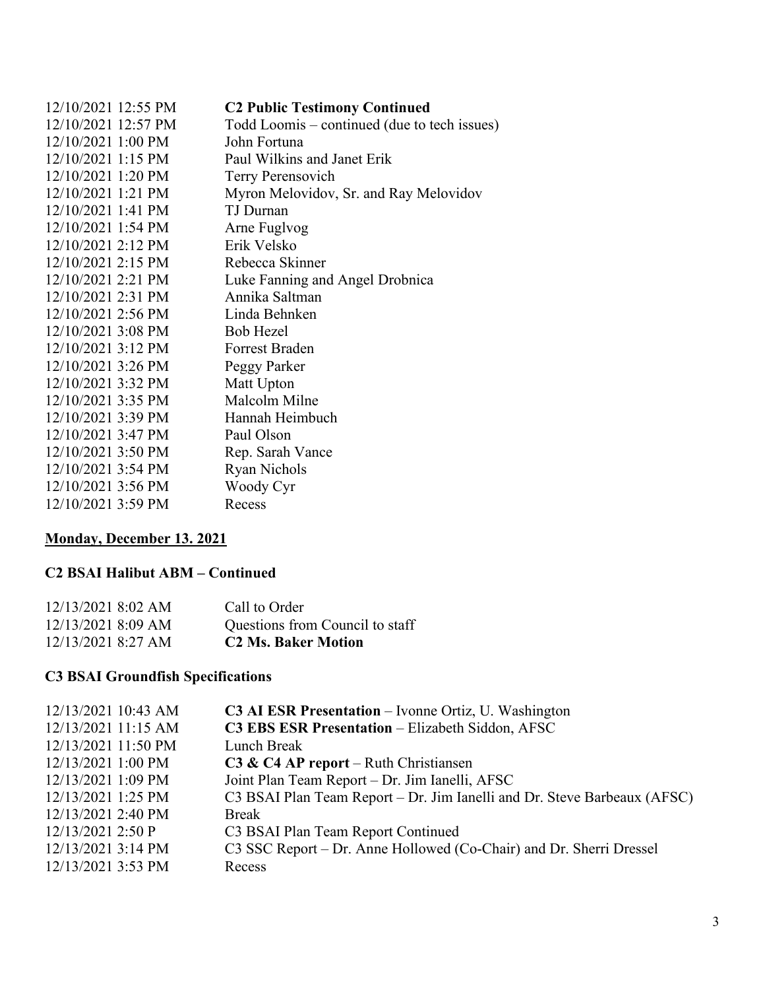| 12/10/2021 12:55 PM | <b>C2 Public Testimony Continued</b>         |
|---------------------|----------------------------------------------|
| 12/10/2021 12:57 PM | Todd Loomis – continued (due to tech issues) |
| 12/10/2021 1:00 PM  | John Fortuna                                 |
| 12/10/2021 1:15 PM  | Paul Wilkins and Janet Erik                  |
| 12/10/2021 1:20 PM  | <b>Terry Perensovich</b>                     |
| 12/10/2021 1:21 PM  | Myron Melovidov, Sr. and Ray Melovidov       |
| 12/10/2021 1:41 PM  | TJ Durnan                                    |
| 12/10/2021 1:54 PM  | Arne Fuglvog                                 |
| 12/10/2021 2:12 PM  | Erik Velsko                                  |
| 12/10/2021 2:15 PM  | Rebecca Skinner                              |
| 12/10/2021 2:21 PM  | Luke Fanning and Angel Drobnica              |
| 12/10/2021 2:31 PM  | Annika Saltman                               |
| 12/10/2021 2:56 PM  | Linda Behnken                                |
| 12/10/2021 3:08 PM  | <b>Bob Hezel</b>                             |
| 12/10/2021 3:12 PM  | <b>Forrest Braden</b>                        |
| 12/10/2021 3:26 PM  | Peggy Parker                                 |
| 12/10/2021 3:32 PM  | Matt Upton                                   |
| 12/10/2021 3:35 PM  | Malcolm Milne                                |
| 12/10/2021 3:39 PM  | Hannah Heimbuch                              |
| 12/10/2021 3:47 PM  | Paul Olson                                   |
| 12/10/2021 3:50 PM  | Rep. Sarah Vance                             |
| 12/10/2021 3:54 PM  | <b>Ryan Nichols</b>                          |
| 12/10/2021 3:56 PM  | Woody Cyr                                    |
| 12/10/2021 3:59 PM  | Recess                                       |

# **Monday, December 13. 2021**

### **C2 BSAI Halibut ABM – Continued**

| 12/13/2021 8:02 AM | Call to Order                   |
|--------------------|---------------------------------|
| 12/13/2021 8:09 AM | Questions from Council to staff |
| 12/13/2021 8:27 AM | <b>C2 Ms. Baker Motion</b>      |

# **C3 BSAI Groundfish Specifications**

| 12/13/2021 10:43 AM | <b>C3 AI ESR Presentation</b> – Ivonne Ortiz, U. Washington              |
|---------------------|--------------------------------------------------------------------------|
| 12/13/2021 11:15 AM | C3 EBS ESR Presentation - Elizabeth Siddon, AFSC                         |
| 12/13/2021 11:50 PM | Lunch Break                                                              |
| 12/13/2021 1:00 PM  | $C3 & C4 AP$ report – Ruth Christiansen                                  |
| 12/13/2021 1:09 PM  | Joint Plan Team Report - Dr. Jim Ianelli, AFSC                           |
| 12/13/2021 1:25 PM  | C3 BSAI Plan Team Report – Dr. Jim Ianelli and Dr. Steve Barbeaux (AFSC) |
| 12/13/2021 2:40 PM  | <b>Break</b>                                                             |
| 12/13/2021 2:50 P   | C3 BSAI Plan Team Report Continued                                       |
| 12/13/2021 3:14 PM  | C3 SSC Report – Dr. Anne Hollowed (Co-Chair) and Dr. Sherri Dressel      |
| 12/13/2021 3:53 PM  | Recess                                                                   |
|                     |                                                                          |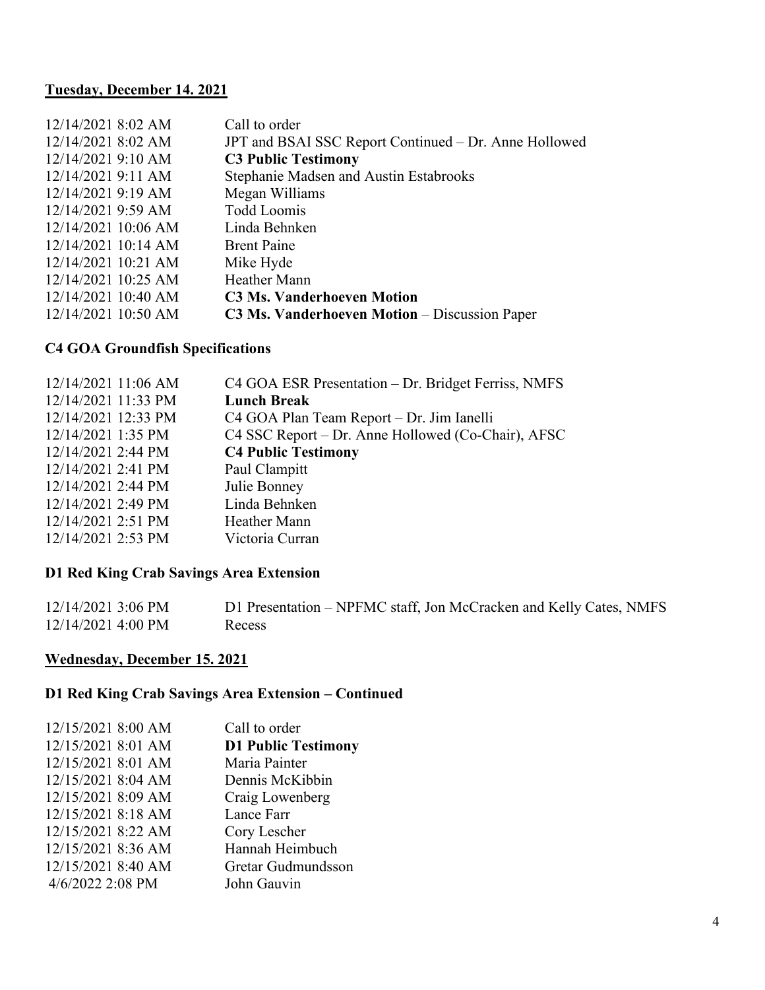### **Tuesday, December 14. 2021**

| 12/14/2021 8:02 AM    | Call to order                                         |
|-----------------------|-------------------------------------------------------|
| 12/14/2021 8:02 AM    | JPT and BSAI SSC Report Continued – Dr. Anne Hollowed |
| 12/14/2021 9:10 AM    | <b>C3 Public Testimony</b>                            |
| 12/14/2021 9:11 AM    | Stephanie Madsen and Austin Estabrooks                |
| 12/14/2021 9:19 AM    | Megan Williams                                        |
| 12/14/2021 9:59 AM    | Todd Loomis                                           |
| 12/14/2021 10:06 AM   | Linda Behnken                                         |
| $12/14/2021$ 10:14 AM | <b>Brent Paine</b>                                    |
| 12/14/2021 10:21 AM   | Mike Hyde                                             |
| 12/14/2021 10:25 AM   | Heather Mann                                          |
| 12/14/2021 10:40 AM   | <b>C3 Ms. Vanderhoeven Motion</b>                     |
| 12/14/2021 10:50 AM   | <b>C3 Ms. Vanderhoeven Motion</b> – Discussion Paper  |
|                       |                                                       |

# **C4 GOA Groundfish Specifications**

| 12/14/2021 11:06 AM  | C4 GOA ESR Presentation - Dr. Bridget Ferriss, NMFS |
|----------------------|-----------------------------------------------------|
| 12/14/2021 11:33 PM  | <b>Lunch Break</b>                                  |
| 12/14/2021 12:33 PM  | C4 GOA Plan Team Report – Dr. Jim Ianelli           |
| 12/14/2021 1:35 PM   | C4 SSC Report – Dr. Anne Hollowed (Co-Chair), AFSC  |
| 12/14/2021 2:44 PM   | <b>C4 Public Testimony</b>                          |
| 12/14/2021 2:41 PM   | Paul Clampitt                                       |
| $12/14/2021$ 2:44 PM | Julie Bonney                                        |
| 12/14/2021 2:49 PM   | Linda Behnken                                       |
| 12/14/2021 2:51 PM   | Heather Mann                                        |
| 12/14/2021 2:53 PM   | Victoria Curran                                     |
|                      |                                                     |

# **D1 Red King Crab Savings Area Extension**

| 12/14/2021 3:06 PM | D1 Presentation - NPFMC staff, Jon McCracken and Kelly Cates, NMFS |
|--------------------|--------------------------------------------------------------------|
| 12/14/2021 4:00 PM | Recess                                                             |

### **Wednesday, December 15. 2021**

## **D1 Red King Crab Savings Area Extension – Continued**

| 12/15/2021 8:00 AM | Call to order              |
|--------------------|----------------------------|
| 12/15/2021 8:01 AM | <b>D1 Public Testimony</b> |
| 12/15/2021 8:01 AM | Maria Painter              |
| 12/15/2021 8:04 AM | Dennis McKibbin            |
| 12/15/2021 8:09 AM | Craig Lowenberg            |
| 12/15/2021 8:18 AM | Lance Farr                 |
| 12/15/2021 8:22 AM | Cory Lescher               |
| 12/15/2021 8:36 AM | Hannah Heimbuch            |
| 12/15/2021 8:40 AM | Gretar Gudmundsson         |
| 4/6/2022 2:08 PM   | John Gauvin                |
|                    |                            |